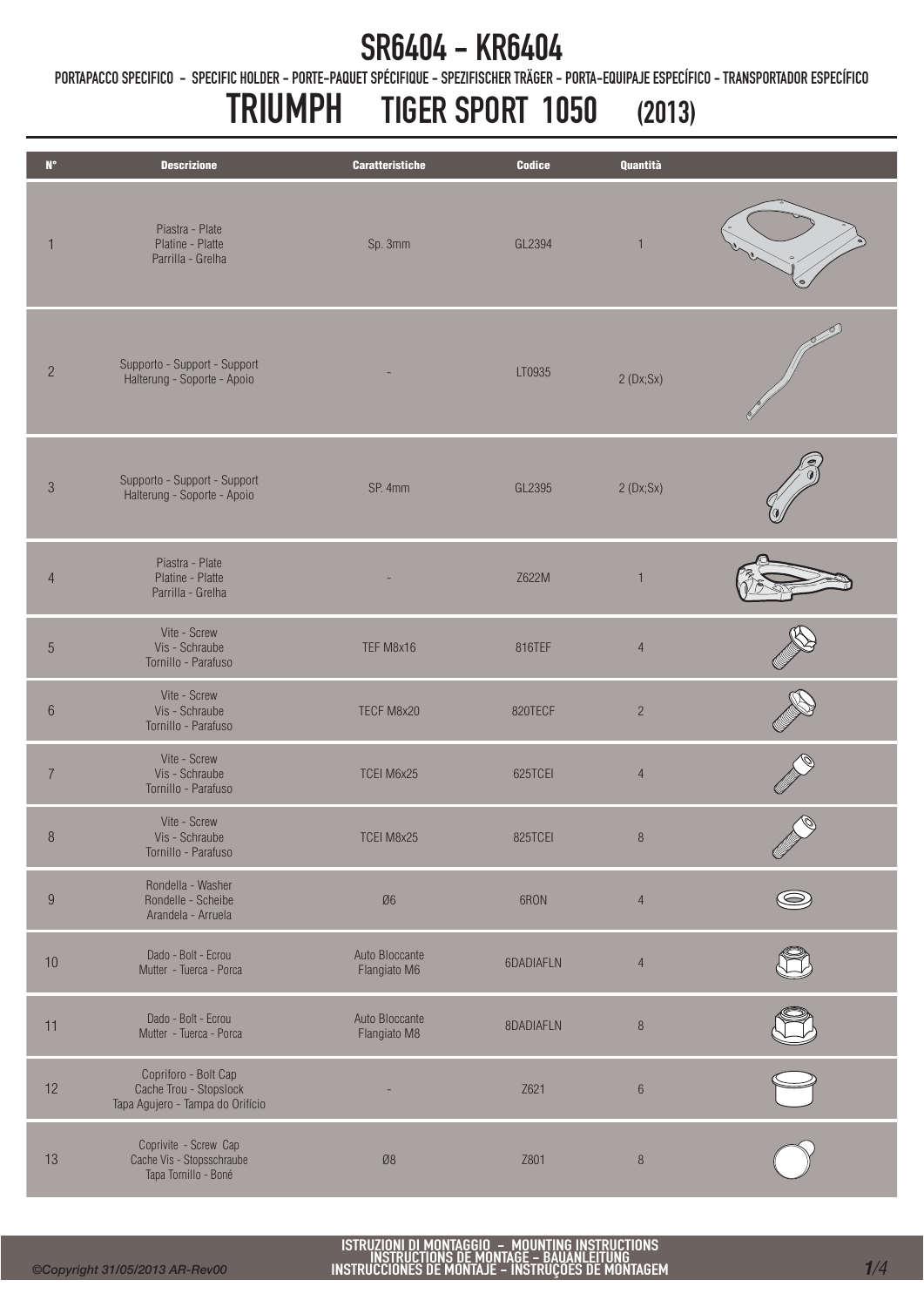PORTAPACCO SPECIFICO - SPECIFIC HOLDER - PORTE-PAQUET SPÉCIFIQUE - SPEZIFISCHER TRÄGER - PORTA-EQUIPAJE ESPECÍFICO - TRANSPORTADOR ESPECÍFICO

# TRIUMPH TIGER SPORT 1050 (2013)

| $\mathbf{N}^\circ$ | <b>Descrizione</b>                                                                 | <b>Caratteristiche</b>         | <b>Codice</b> | Quantità       |  |
|--------------------|------------------------------------------------------------------------------------|--------------------------------|---------------|----------------|--|
| $\mathbf{1}$       | Piastra - Plate<br>Platine - Platte<br>Parrilla - Grelha                           | Sp. 3mm                        | GL2394        | $\mathbf{1}$   |  |
| $\overline{2}$     | Supporto - Support - Support<br>Halterung - Soporte - Apoio                        |                                | LT0935        | 2(Dx;Sx)       |  |
| $\sqrt{3}$         | Supporto - Support - Support<br>Halterung - Soporte - Apoio                        | SP. 4mm                        | GL2395        | 2(Dx;Sx)       |  |
| $\overline{4}$     | Piastra - Plate<br>Platine - Platte<br>Parrilla - Grelha                           |                                | Z622M         | $\overline{1}$ |  |
| $\overline{5}$     | Vite - Screw<br>Vis - Schraube<br>Tornillo - Parafuso                              | TEF M8x16                      | 816TEF        | $\overline{4}$ |  |
| $6\phantom{.}$     | Vite - Screw<br>Vis - Schraube<br>Tornillo - Parafuso                              | TECF M8x20                     | 820TECF       | $\sqrt{2}$     |  |
| $\overline{7}$     | Vite - Screw<br>Vis - Schraube<br>Tornillo - Parafuso                              | TCEI M6x25                     | 625TCEI       | $\overline{4}$ |  |
| 8                  | Vite - Screw<br>Vis - Schraube<br>Tornillo - Parafuso                              | TCEI M8x25                     | 825TCEI       | $8\phantom{1}$ |  |
| $\boldsymbol{9}$   | Rondella - Washer<br>Rondelle - Scheibe<br>Arandela - Arruela                      | $\emptyset 6$                  | 6RON          | $\overline{4}$ |  |
| $10$               | Dado - Bolt - Ecrou<br>Mutter - Tuerca - Porca                                     | Auto Bloccante<br>Flangiato M6 | 6DADIAFLN     | $\overline{4}$ |  |
| 11                 | Dado - Bolt - Ecrou<br>Mutter - Tuerca - Porca                                     | Auto Bloccante<br>Flangiato M8 | 8DADIAFLN     | $\, 8$         |  |
| 12                 | Copriforo - Bolt Cap<br>Cache Trou - Stopslock<br>Tapa Agujero - Tampa do Orifício |                                | Z621          | $\,6\,$        |  |
| 13                 | Coprivite - Screw Cap<br>Cache Vis - Stopsschraube<br>Tapa Tornillo - Boné         | $\emptyset 8$                  | Z801          | $\, 8$         |  |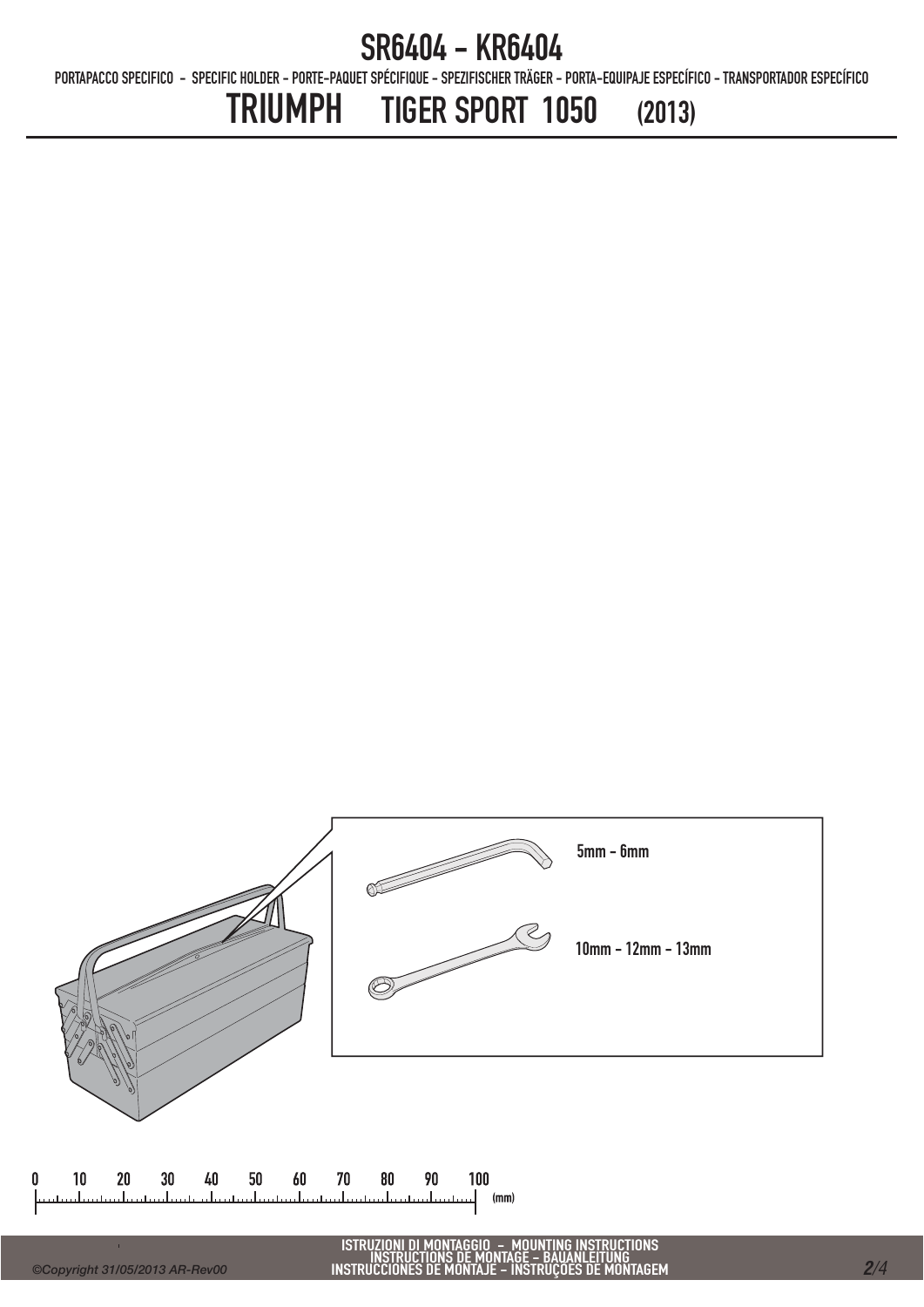PORTAPACCO SPECIFICO - SPECIFIC HOLDER - PORTE-PAQUET SPÉCIFIQUE - SPEZIFISCHER TRÄGER - PORTA-EQUIPAJE ESPECÍFICO - TRANSPORTADOR ESPECÍFICO

## TRIUMPH TIGER SPORT 1050 (2013)



 $\mathbf{0}$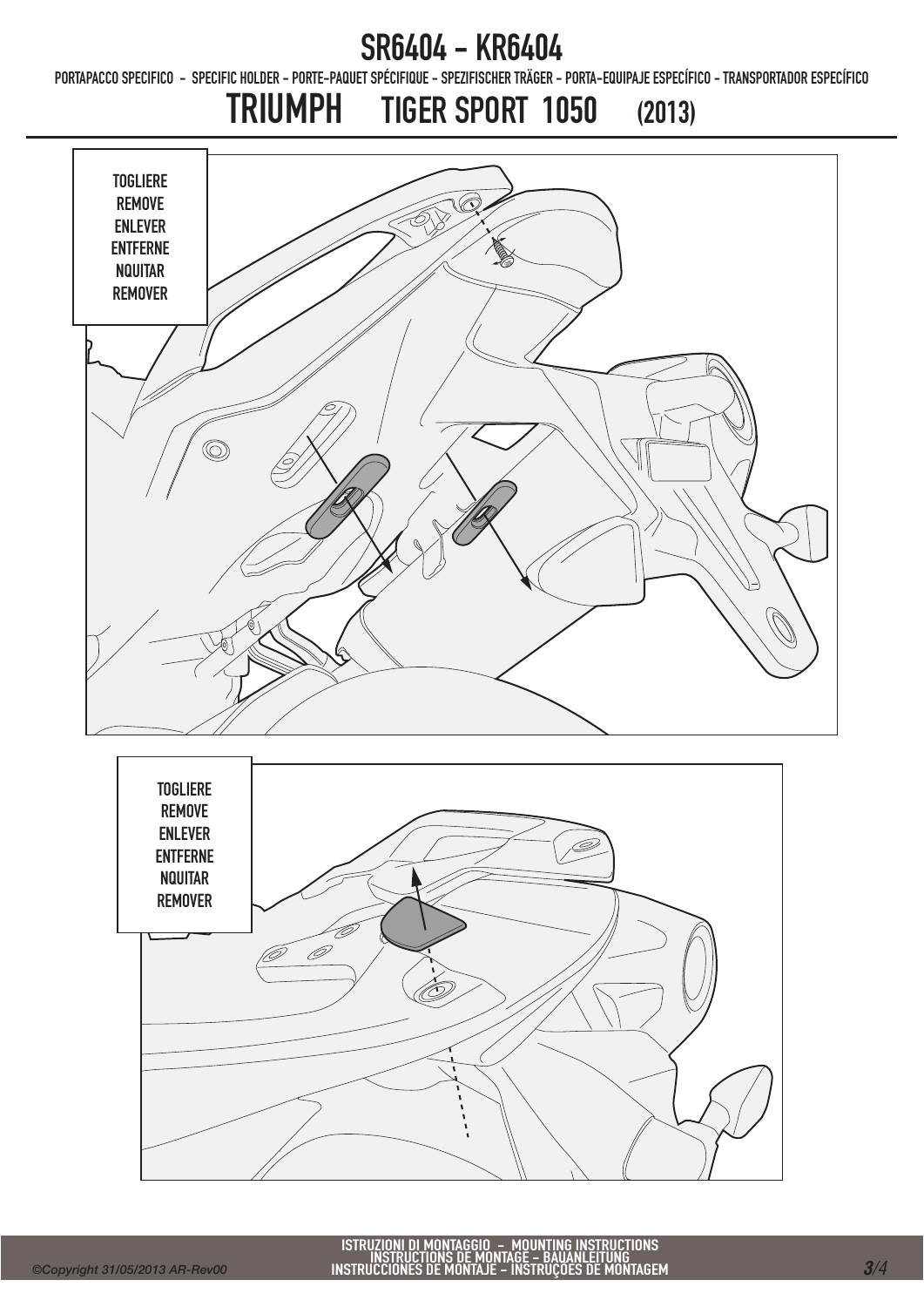PORTAPACCO SPECIFICO - SPECIFIC HOLDER - PORTE-PAQUET SPÉCIFIQUE - SPEZIFISCHER TRÄGER - PORTA-EQUIPAJE ESPECÍFICO - TRANSPORTADOR ESPECÍFICO

# TRIUMPH TIGER SPORT 1050 (2013)